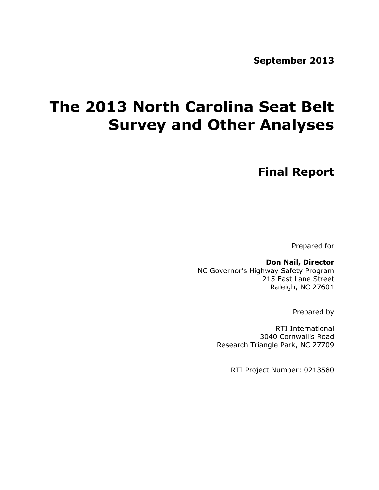**September 2013**

# **The 2013 North Carolina Seat Belt Survey and Other Analyses**

## **Final Report**

Prepared for

**Don Nail, Director** NC Governor's Highway Safety Program 215 East Lane Street Raleigh, NC 27601

Prepared by

RTI International 3040 Cornwallis Road Research Triangle Park, NC 27709

RTI Project Number: 0213580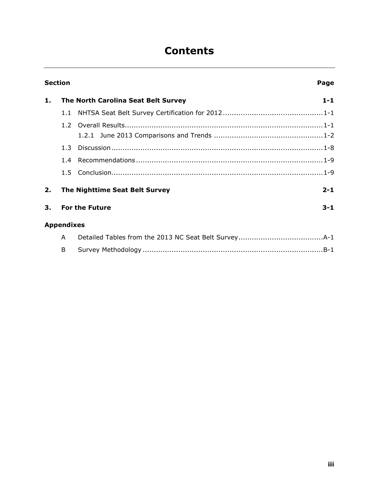## **Contents**

| <b>Section</b> |                   |                                     | Page    |
|----------------|-------------------|-------------------------------------|---------|
| 1.             |                   | The North Carolina Seat Belt Survey | $1 - 1$ |
|                | 1.1               |                                     |         |
|                |                   |                                     |         |
|                | 13                |                                     |         |
|                | 1.4               |                                     |         |
|                | $1.5 -$           |                                     |         |
| 2.             |                   | The Nighttime Seat Belt Survey      | $2 - 1$ |
| 3.             |                   | <b>For the Future</b>               | $3 - 1$ |
|                | <b>Appendixes</b> |                                     |         |
|                | A                 |                                     |         |
|                | B                 |                                     |         |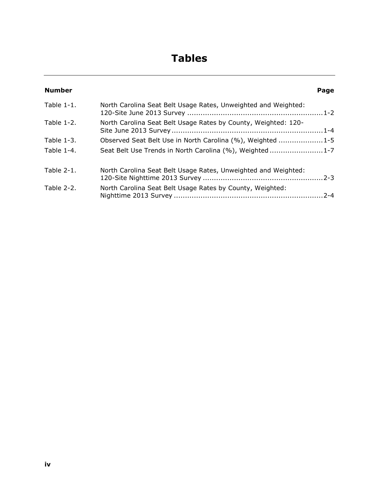## **Tables**

|                                                                | Page |
|----------------------------------------------------------------|------|
| North Carolina Seat Belt Usage Rates, Unweighted and Weighted: |      |
| North Carolina Seat Belt Usage Rates by County, Weighted: 120- |      |
| Observed Seat Belt Use in North Carolina (%), Weighted  1-5    |      |
| Seat Belt Use Trends in North Carolina (%), Weighted1-7        |      |
| North Carolina Seat Belt Usage Rates, Unweighted and Weighted: |      |
| North Carolina Seat Belt Usage Rates by County, Weighted:      |      |
|                                                                |      |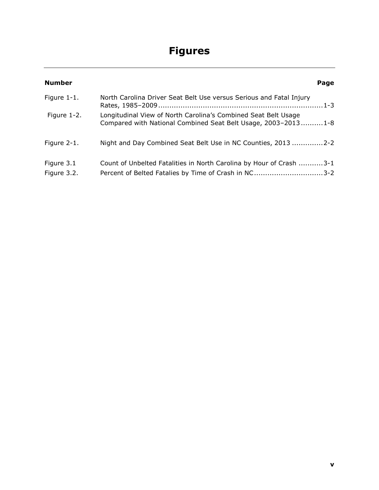## **Figures**

| <b>Number</b>             | Page                                                                                                                            |
|---------------------------|---------------------------------------------------------------------------------------------------------------------------------|
| Figure 1-1.               | North Carolina Driver Seat Belt Use versus Serious and Fatal Injury                                                             |
| Figure 1-2.               | Longitudinal View of North Carolina's Combined Seat Belt Usage<br>Compared with National Combined Seat Belt Usage, 2003-20131-8 |
| Figure 2-1.               | Night and Day Combined Seat Belt Use in NC Counties, 2013 2-2                                                                   |
| Figure 3.1<br>Figure 3.2. | Count of Unbelted Fatalities in North Carolina by Hour of Crash 3-1<br>Percent of Belted Fatalies by Time of Crash in NC3-2     |
|                           |                                                                                                                                 |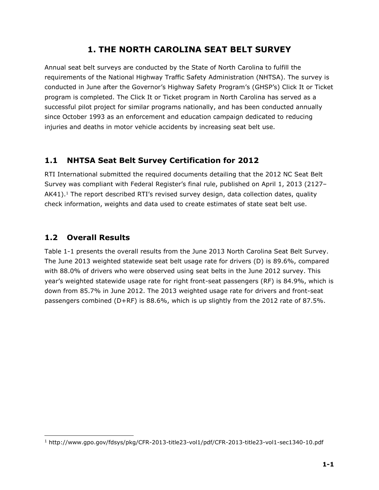## **1. THE NORTH CAROLINA SEAT BELT SURVEY**

Annual seat belt surveys are conducted by the State of North Carolina to fulfill the requirements of the National Highway Traffic Safety Administration (NHTSA). The survey is conducted in June after the Governor's Highway Safety Program's (GHSP's) Click It or Ticket program is completed. The Click It or Ticket program in North Carolina has served as a successful pilot project for similar programs nationally, and has been conducted annually since October 1993 as an enforcement and education campaign dedicated to reducing injuries and deaths in motor vehicle accidents by increasing seat belt use.

### **1.1 NHTSA Seat Belt Survey Certification for 2012**

RTI International submitted the required documents detailing that the 2012 NC Seat Belt Survey was compliant with Federal Register's final rule, published on April 1, 2013 (2127–  $AK41$ ).<sup>1</sup> The report described RTI's revised survey design, data collection dates, quality check information, weights and data used to create estimates of state seat belt use.

## **1.2 Overall Results**

1

[Table 1-1](#page-7-0) presents the overall results from the June 2013 North Carolina Seat Belt Survey. The June 2013 weighted statewide seat belt usage rate for drivers (D) is 89.6%, compared with 88.0% of drivers who were observed using seat belts in the June 2012 survey. This year's weighted statewide usage rate for right front-seat passengers (RF) is 84.9%, which is down from 85.7% in June 2012. The 2013 weighted usage rate for drivers and front-seat passengers combined (D+RF) is 88.6%, which is up slightly from the 2012 rate of 87.5%.

<sup>1</sup> http://www.gpo.gov/fdsys/pkg/CFR-2013-title23-vol1/pdf/CFR-2013-title23-vol1-sec1340-10.pdf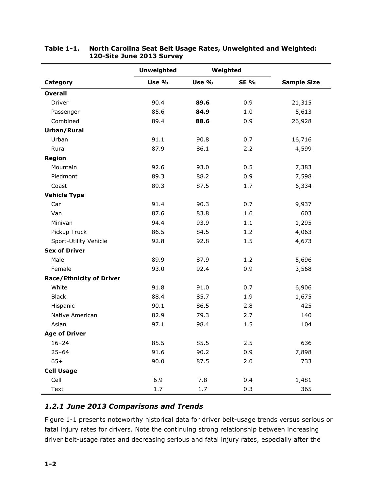|                                 | <b>Unweighted</b> |         | Weighted    |                    |
|---------------------------------|-------------------|---------|-------------|--------------------|
| Category                        | Use %             | Use %   | <b>SE %</b> | <b>Sample Size</b> |
| <b>Overall</b>                  |                   |         |             |                    |
| Driver                          | 90.4              | 89.6    | 0.9         | 21,315             |
| Passenger                       | 85.6              | 84.9    | 1.0         | 5,613              |
| Combined                        | 89.4              | 88.6    | 0.9         | 26,928             |
| Urban/Rural                     |                   |         |             |                    |
| Urban                           | 91.1              | 90.8    | 0.7         | 16,716             |
| Rural                           | 87.9              | 86.1    | 2.2         | 4,599              |
| <b>Region</b>                   |                   |         |             |                    |
| Mountain                        | 92.6              | 93.0    | 0.5         | 7,383              |
| Piedmont                        | 89.3              | 88.2    | 0.9         | 7,598              |
| Coast                           | 89.3              | 87.5    | 1.7         | 6,334              |
| <b>Vehicle Type</b>             |                   |         |             |                    |
| Car                             | 91.4              | 90.3    | 0.7         | 9,937              |
| Van                             | 87.6              | 83.8    | 1.6         | 603                |
| Minivan                         | 94.4              | 93.9    | 1.1         | 1,295              |
| Pickup Truck                    | 86.5              | 84.5    | 1.2         | 4,063              |
| Sport-Utility Vehicle           | 92.8              | 92.8    | 1.5         | 4,673              |
| <b>Sex of Driver</b>            |                   |         |             |                    |
| Male                            | 89.9              | 87.9    | 1.2         | 5,696              |
| Female                          | 93.0              | 92.4    | 0.9         | 3,568              |
| <b>Race/Ethnicity of Driver</b> |                   |         |             |                    |
| White                           | 91.8              | 91.0    | 0.7         | 6,906              |
| <b>Black</b>                    | 88.4              | 85.7    | 1.9         | 1,675              |
| Hispanic                        | 90.1              | 86.5    | 2.8         | 425                |
| Native American                 | 82.9              | 79.3    | 2.7         | 140                |
| Asian                           | 97.1              | 98.4    | 1.5         | 104                |
| <b>Age of Driver</b>            |                   |         |             |                    |
| $16 - 24$                       | 85.5              | 85.5    | 2.5         | 636                |
| $25 - 64$                       | 91.6              | 90.2    | 0.9         | 7,898              |
| $65+$                           | 90.0              | 87.5    | 2.0         | 733                |
| <b>Cell Usage</b>               |                   |         |             |                    |
| Cell                            | 6.9               | 7.8     | 0.4         | 1,481              |
| Text                            | $1.7\,$           | $1.7\,$ | 0.3         | 365                |

#### <span id="page-7-0"></span>**Table 1-1. North Carolina Seat Belt Usage Rates, Unweighted and Weighted: 120-Site June 2013 Survey**

#### *1.2.1 June 2013 Comparisons and Trends*

[Figure 1-1](#page-8-0) presents noteworthy historical data for driver belt-usage trends versus serious or fatal injury rates for drivers. Note the continuing strong relationship between increasing driver belt-usage rates and decreasing serious and fatal injury rates, especially after the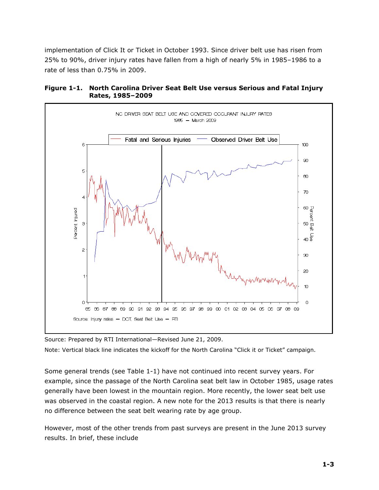implementation of Click It or Ticket in October 1993. Since driver belt use has risen from 25% to 90%, driver injury rates have fallen from a high of nearly 5% in 1985–1986 to a rate of less than 0.75% in 2009.



<span id="page-8-0"></span>**Figure 1-1. North Carolina Driver Seat Belt Use versus Serious and Fatal Injury Rates, 1985–2009**

Source: Prepared by RTI International—Revised June 21, 2009.

Note: Vertical black line indicates the kickoff for the North Carolina "Click it or Ticket" campaign.

Some general trends (see [Table 1-1\)](#page-7-0) have not continued into recent survey years. For example, since the passage of the North Carolina seat belt law in October 1985, usage rates generally have been lowest in the mountain region. More recently, the lower seat belt use was observed in the coastal region. A new note for the 2013 results is that there is nearly no difference between the seat belt wearing rate by age group.

However, most of the other trends from past surveys are present in the June 2013 survey results. In brief, these include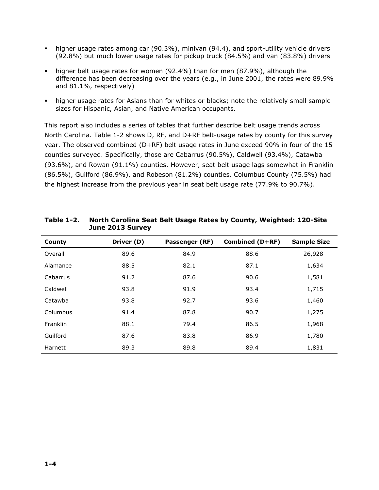- higher usage rates among car (90.3%), minivan (94.4), and sport-utility vehicle drivers (92.8%) but much lower usage rates for pickup truck (84.5%) and van (83.8%) drivers
- higher belt usage rates for women (92.4%) than for men (87.9%), although the difference has been decreasing over the years (e.g., in June 2001, the rates were 89.9% and 81.1%, respectively)
- higher usage rates for Asians than for whites or blacks; note the relatively small sample sizes for Hispanic, Asian, and Native American occupants.

This report also includes a series of tables that further describe belt usage trends across North Carolina. [Table 1-2](#page-9-0) shows D, RF, and D+RF belt-usage rates by county for this survey year. The observed combined (D+RF) belt usage rates in June exceed 90% in four of the 15 counties surveyed. Specifically, those are Cabarrus (90.5%), Caldwell (93.4%), Catawba (93.6%), and Rowan (91.1%) counties. However, seat belt usage lags somewhat in Franklin (86.5%), Guilford (86.9%), and Robeson (81.2%) counties. Columbus County (75.5%) had the highest increase from the previous year in seat belt usage rate (77.9% to 90.7%).

| County   | Driver (D) | Passenger (RF) | Combined (D+RF) | <b>Sample Size</b> |
|----------|------------|----------------|-----------------|--------------------|
| Overall  | 89.6       | 84.9           | 88.6            | 26,928             |
| Alamance | 88.5       | 82.1           | 87.1            | 1,634              |
| Cabarrus | 91.2       | 87.6           | 90.6            | 1,581              |
| Caldwell | 93.8       | 91.9           | 93.4            | 1,715              |
| Catawba  | 93.8       | 92.7           | 93.6            | 1,460              |
| Columbus | 91.4       | 87.8           | 90.7            | 1,275              |
| Franklin | 88.1       | 79.4           | 86.5            | 1,968              |
| Guilford | 87.6       | 83.8           | 86.9            | 1,780              |
| Harnett  | 89.3       | 89.8           | 89.4            | 1,831              |

#### <span id="page-9-0"></span>**Table 1-2. North Carolina Seat Belt Usage Rates by County, Weighted: 120-Site June 2013 Survey**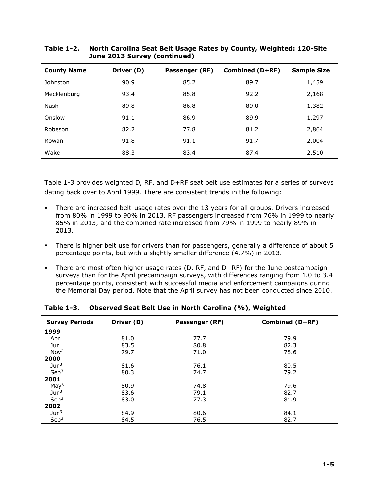| <b>County Name</b> | Driver (D) | Passenger (RF) | Combined (D+RF) | <b>Sample Size</b> |
|--------------------|------------|----------------|-----------------|--------------------|
| Johnston           | 90.9       | 85.2           | 89.7            | 1,459              |
| Mecklenburg        | 93.4       | 85.8           | 92.2            | 2,168              |
| Nash               | 89.8       | 86.8           | 89.0            | 1,382              |
| Onslow             | 91.1       | 86.9           | 89.9            | 1,297              |
| Robeson            | 82.2       | 77.8           | 81.2            | 2,864              |
| Rowan              | 91.8       | 91.1           | 91.7            | 2,004              |
| Wake               | 88.3       | 83.4           | 87.4            | 2,510              |

**Table 1-2. North Carolina Seat Belt Usage Rates by County, Weighted: 120-Site June 2013 Survey (continued)**

[Table 1-3](#page-10-0) provides weighted D, RF, and D+RF seat belt use estimates for a series of surveys dating back over to April 1999. There are consistent trends in the following:

- There are increased belt-usage rates over the 13 years for all groups. Drivers increased from 80% in 1999 to 90% in 2013. RF passengers increased from 76% in 1999 to nearly 85% in 2013, and the combined rate increased from 79% in 1999 to nearly 89% in 2013.
- There is higher belt use for drivers than for passengers, generally a difference of about 5 percentage points, but with a slightly smaller difference (4.7%) in 2013.
- There are most often higher usage rates (D, RF, and  $D+RF$ ) for the June postcampaign surveys than for the April precampaign surveys, with differences ranging from 1.0 to 3.4 percentage points, consistent with successful media and enforcement campaigns during the Memorial Day period. Note that the April survey has not been conducted since 2010.

| <b>Survey Periods</b> | Driver (D) | Passenger (RF) | Combined (D+RF) |
|-----------------------|------------|----------------|-----------------|
| 1999                  |            |                |                 |
| Apr <sup>1</sup>      | 81.0       | 77.7           | 79.9            |
| Jun <sup>1</sup>      | 83.5       | 80.8           | 82.3            |
| Nov <sup>2</sup>      | 79.7       | 71.0           | 78.6            |
| 2000                  |            |                |                 |
| Jun <sup>3</sup>      | 81.6       | 76.1           | 80.5            |
| Sep <sup>3</sup>      | 80.3       | 74.7           | 79.2            |
| 2001                  |            |                |                 |
| May <sup>3</sup>      | 80.9       | 74.8           | 79.6            |
| Jun <sup>3</sup>      | 83.6       | 79.1           | 82.7            |
| Sep <sup>3</sup>      | 83.0       | 77.3           | 81.9            |
| 2002                  |            |                |                 |
| Jun <sup>3</sup>      | 84.9       | 80.6           | 84.1            |
| Sep <sup>3</sup>      | 84.5       | 76.5           | 82.7            |

<span id="page-10-0"></span>**Table 1-3. Observed Seat Belt Use in North Carolina (%), Weighted**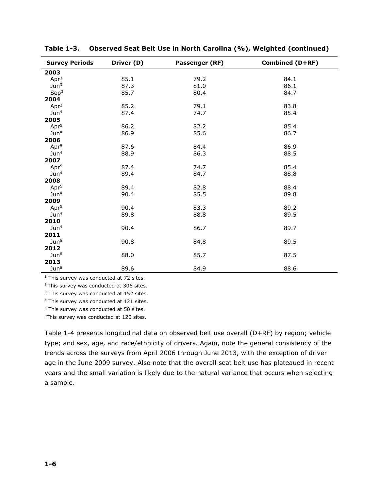| <b>Survey Periods</b> | Driver (D) | Passenger (RF) | <b>Combined (D+RF)</b> |
|-----------------------|------------|----------------|------------------------|
| 2003                  |            |                |                        |
| Apr $3$               | 85.1       | 79.2           | 84.1                   |
| Jun <sup>3</sup>      | 87.3       | 81.0           | 86.1                   |
| Sep <sup>3</sup>      | 85.7       | 80.4           | 84.7                   |
| 2004                  |            |                |                        |
| Apr $3$               | 85.2       | 79.1           | 83.8                   |
| Jun <sup>4</sup>      | 87.4       | 74.7           | 85.4                   |
| 2005                  |            |                |                        |
| Apr <sup>5</sup>      | 86.2       | 82.2           | 85.4                   |
| Jun <sup>4</sup>      | 86.9       | 85.6           | 86.7                   |
| 2006                  |            |                |                        |
| Apr <sup>5</sup>      | 87.6       | 84.4           | 86.9                   |
| Jun <sup>4</sup>      | 88.9       | 86.3           | 88.5                   |
| 2007                  |            |                |                        |
| Apr <sup>5</sup>      | 87.4       | 74.7           | 85.4                   |
| Jun <sup>4</sup>      | 89.4       | 84.7           | 88.8                   |
| 2008                  |            |                |                        |
| Apr <sup>5</sup>      | 89.4       | 82.8           | 88.4                   |
| Jun <sup>4</sup>      | 90.4       | 85.5           | 89.8                   |
| 2009                  |            |                |                        |
| Apr <sup>5</sup>      | 90.4       | 83.3           | 89.2                   |
| Jun <sup>4</sup>      | 89.8       | 88.8           | 89.5                   |
| 2010                  |            |                |                        |
| Jun <sup>4</sup>      | 90.4       | 86.7           | 89.7                   |
| 2011                  |            |                |                        |
| Jun <sup>6</sup>      | 90.8       | 84.8           | 89.5                   |
| 2012                  |            |                |                        |
| Jun <sup>6</sup>      | 88.0       | 85.7           | 87.5                   |
| 2013                  |            |                |                        |
| Jun <sup>6</sup>      | 89.6       | 84.9           | 88.6                   |

**Table 1-3. Observed Seat Belt Use in North Carolina (%), Weighted (continued)**

 $<sup>1</sup>$  This survey was conducted at 72 sites.</sup>

<sup>2</sup> This survey was conducted at 306 sites.

<sup>3</sup> This survey was conducted at 152 sites.

<sup>4</sup> This survey was conducted at 121 sites.

<sup>5</sup> This survey was conducted at 50 sites.

<sup>6</sup>This survey was conducted at 120 sites.

Table 1-4 presents longitudinal data on observed belt use overall (D+RF) by region; vehicle type; and sex, age, and race/ethnicity of drivers. Again, note the general consistency of the trends across the surveys from April 2006 through June 2013, with the exception of driver age in the June 2009 survey. Also note that the overall seat belt use has plateaued in recent years and the small variation is likely due to the natural variance that occurs when selecting a sample.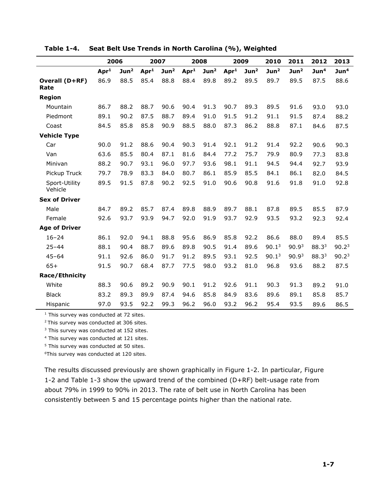|                          |                  | 2006             |                  | 2007             |                  | 2008             |                  | 2009             | 2010              | 2011              | 2012             | 2013              |
|--------------------------|------------------|------------------|------------------|------------------|------------------|------------------|------------------|------------------|-------------------|-------------------|------------------|-------------------|
|                          | Apr <sup>1</sup> | Jun <sup>2</sup> | Apr <sup>1</sup> | Jun <sup>2</sup> | Apr <sup>1</sup> | Jun <sup>2</sup> | Apr <sup>1</sup> | Jun <sup>2</sup> | Jun <sup>2</sup>  | Jun <sup>2</sup>  | Jun <sup>4</sup> | Jun <sup>4</sup>  |
| Overall (D+RF)<br>Rate   | 86.9             | 88.5             | 85.4             | 88.8             | 88.4             | 89.8             | 89.2             | 89.5             | 89.7              | 89.5              | 87.5             | 88.6              |
| Region                   |                  |                  |                  |                  |                  |                  |                  |                  |                   |                   |                  |                   |
| Mountain                 | 86.7             | 88.2             | 88.7             | 90.6             | 90.4             | 91.3             | 90.7             | 89.3             | 89.5              | 91.6              | 93.0             | 93.0              |
| Piedmont                 | 89.1             | 90.2             | 87.5             | 88.7             | 89.4             | 91.0             | 91.5             | 91.2             | 91.1              | 91.5              | 87.4             | 88.2              |
| Coast                    | 84.5             | 85.8             | 85.8             | 90.9             | 88.5             | 88.0             | 87.3             | 86.2             | 88.8              | 87.1              | 84.6             | 87.5              |
| <b>Vehicle Type</b>      |                  |                  |                  |                  |                  |                  |                  |                  |                   |                   |                  |                   |
| Car                      | 90.0             | 91.2             | 88.6             | 90.4             | 90.3             | 91.4             | 92.1             | 91.2             | 91.4              | 92.2              | 90.6             | 90.3              |
| Van                      | 63.6             | 85.5             | 80.4             | 87.1             | 81.6             | 84.4             | 77.2             | 75.7             | 79.9              | 80.9              | 77.3             | 83.8              |
| Minivan                  | 88.2             | 90.7             | 93.1             | 96.0             | 97.7             | 93.6             | 98.1             | 91.1             | 94.5              | 94.4              | 92.7             | 93.9              |
| Pickup Truck             | 79.7             | 78.9             | 83.3             | 84.0             | 80.7             | 86.1             | 85.9             | 85.5             | 84.1              | 86.1              | 82.0             | 84.5              |
| Sport-Utility<br>Vehicle | 89.5             | 91.5             | 87.8             | 90.2             | 92.5             | 91.0             | 90.6             | 90.8             | 91.6              | 91.8              | 91.0             | 92.8              |
| <b>Sex of Driver</b>     |                  |                  |                  |                  |                  |                  |                  |                  |                   |                   |                  |                   |
| Male                     | 84.7             | 89.2             | 85.7             | 87.4             | 89.8             | 88.9             | 89.7             | 88.1             | 87.8              | 89.5              | 85.5             | 87.9              |
| Female                   | 92.6             | 93.7             | 93.9             | 94.7             | 92.0             | 91.9             | 93.7             | 92.9             | 93.5              | 93.2              | 92.3             | 92.4              |
| <b>Age of Driver</b>     |                  |                  |                  |                  |                  |                  |                  |                  |                   |                   |                  |                   |
| $16 - 24$                | 86.1             | 92.0             | 94.1             | 88.8             | 95.6             | 86.9             | 85.8             | 92.2             | 86.6              | 88.0              | 89.4             | 85.5              |
| $25 - 44$                | 88.1             | 90.4             | 88.7             | 89.6             | 89.8             | 90.5             | 91.4             | 89.6             | 90.1 <sup>3</sup> | 90.9 <sup>3</sup> | 88.33            | 90.2 <sup>3</sup> |
| $45 - 64$                | 91.1             | 92.6             | 86.0             | 91.7             | 91.2             | 89.5             | 93.1             | 92.5             | 90.1 <sup>3</sup> | 90.9 <sup>3</sup> | 88.33            | 90.2 <sup>3</sup> |
| $65+$                    | 91.5             | 90.7             | 68.4             | 87.7             | 77.5             | 98.0             | 93.2             | 81.0             | 96.8              | 93.6              | 88.2             | 87.5              |
| <b>Race/Ethnicity</b>    |                  |                  |                  |                  |                  |                  |                  |                  |                   |                   |                  |                   |
| White                    | 88.3             | 90.6             | 89.2             | 90.9             | 90.1             | 91.2             | 92.6             | 91.1             | 90.3              | 91.3              | 89.2             | 91.0              |
| <b>Black</b>             | 83.2             | 89.3             | 89.9             | 87.4             | 94.6             | 85.8             | 84.9             | 83.6             | 89.6              | 89.1              | 85.8             | 85.7              |
| Hispanic                 | 97.0             | 93.5             | 92.2             | 99.3             | 96.2             | 96.0             | 93.2             | 96.2             | 95.4              | 93.5              | 89.6             | 86.5              |

**Table 1-4. Seat Belt Use Trends in North Carolina (%), Weighted**

 $<sup>1</sup>$  This survey was conducted at 72 sites.</sup>

<sup>2</sup> This survey was conducted at 306 sites.

<sup>3</sup> This survey was conducted at 152 sites.

<sup>4</sup> This survey was conducted at 121 sites.

<sup>5</sup> This survey was conducted at 50 sites.

<sup>6</sup>This survey was conducted at 120 sites.

The results discussed previously are shown graphically in [Figure 1-2.](#page-13-0) In particular, [Figure](#page-13-0)  [1-2](#page-13-0) and [Table 1-3](#page-10-0) show the upward trend of the combined (D+RF) belt-usage rate from about 79% in 1999 to 90% in 2013. The rate of belt use in North Carolina has been consistently between 5 and 15 percentage points higher than the national rate.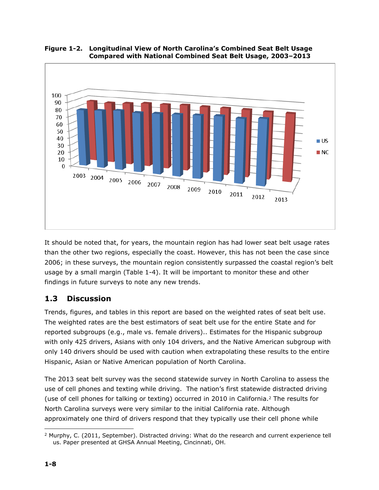

#### <span id="page-13-0"></span>**Figure 1-2. Longitudinal View of North Carolina's Combined Seat Belt Usage Compared with National Combined Seat Belt Usage, 2003–2013**

It should be noted that, for years, the mountain region has had lower seat belt usage rates than the other two regions, especially the coast. However, this has not been the case since 2006; in these surveys, the mountain region consistently surpassed the coastal region's belt usage by a small margin (Table 1-4). It will be important to monitor these and other findings in future surveys to note any new trends.

## **1.3 Discussion**

Trends, figures, and tables in this report are based on the weighted rates of seat belt use. The weighted rates are the best estimators of seat belt use for the entire State and for reported subgroups (e.g., male vs. female drivers).. Estimates for the Hispanic subgroup with only 425 drivers, Asians with only 104 drivers, and the Native American subgroup with only 140 drivers should be used with caution when extrapolating these results to the entire Hispanic, Asian or Native American population of North Carolina.

The 2013 seat belt survey was the second statewide survey in North Carolina to assess the use of cell phones and texting while driving. The nation's first statewide distracted driving (use of cell phones for talking or texting) occurred in 2010 in California.<sup>2</sup> The results for North Carolina surveys were very similar to the initial California rate. Although approximately one third of drivers respond that they typically use their cell phone while

 <sup>2</sup> Murphy, C. (2011, September). Distracted driving: What do the research and current experience tell us. Paper presented at GHSA Annual Meeting, Cincinnati, OH.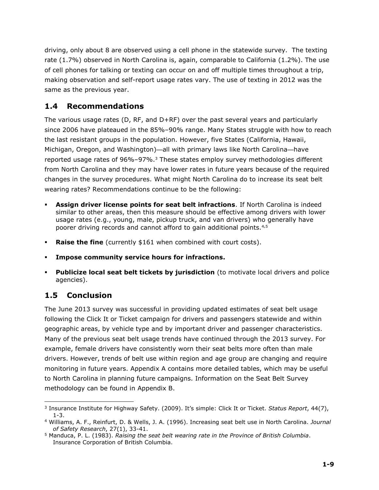driving, only about 8 are observed using a cell phone in the statewide survey. The texting rate (1.7%) observed in North Carolina is, again, comparable to California (1.2%). The use of cell phones for talking or texting can occur on and off multiple times throughout a trip, making observation and self-report usage rates vary. The use of texting in 2012 was the same as the previous year.

### **1.4 Recommendations**

The various usage rates (D, RF, and D+RF) over the past several years and particularly since 2006 have plateaued in the 85%–90% range. Many States struggle with how to reach the last resistant groups in the population. However, five States (California, Hawaii, Michigan, Oregon, and Washington)—all with primary laws like North Carolina—have reported usage rates of 96%–97%.<sup>3</sup> These states employ survey methodologies different from North Carolina and they may have lower rates in future years because of the required changes in the survey procedures. What might North Carolina do to increase its seat belt wearing rates? Recommendations continue to be the following:

- Assign driver license points for seat belt infractions. If North Carolina is indeed similar to other areas, then this measure should be effective among drivers with lower usage rates (e.g., young, male, pickup truck, and van drivers) who generally have poorer driving records and cannot afford to gain additional points.4,<sup>5</sup>
- **Raise the fine** (currently \$161 when combined with court costs).
- **Impose community service hours for infractions.**
- **Publicize local seat belt tickets by jurisdiction** (to motivate local drivers and police agencies).

## **1.5 Conclusion**

 $\overline{a}$ 

The June 2013 survey was successful in providing updated estimates of seat belt usage following the Click It or Ticket campaign for drivers and passengers statewide and within geographic areas, by vehicle type and by important driver and passenger characteristics. Many of the previous seat belt usage trends have continued through the 2013 survey. For example, female drivers have consistently worn their seat belts more often than male drivers. However, trends of belt use within region and age group are changing and require monitoring in future years. Appendix A contains more detailed tables, which may be useful to North Carolina in planning future campaigns. Information on the Seat Belt Survey methodology can be found in Appendix B.

<sup>3</sup> Insurance Institute for Highway Safety. (2009). It's simple: Click It or Ticket. *Status Report*, 44(7), 1-3.

<sup>4</sup> Williams, A. F., Reinfurt, D. & Wells, J. A. (1996). Increasing seat belt use in North Carolina. *Journal of Safety Research*, 27(1), 33-41.

<sup>5</sup> Manduca, P. L. (1983). *Raising the seat belt wearing rate in the Province of British Columbia*. Insurance Corporation of British Columbia.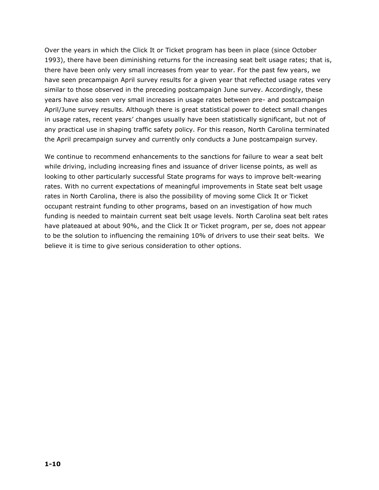Over the years in which the Click It or Ticket program has been in place (since October 1993), there have been diminishing returns for the increasing seat belt usage rates; that is, there have been only very small increases from year to year. For the past few years, we have seen precampaign April survey results for a given year that reflected usage rates very similar to those observed in the preceding postcampaign June survey. Accordingly, these years have also seen very small increases in usage rates between pre- and postcampaign April/June survey results. Although there is great statistical power to detect small changes in usage rates, recent years' changes usually have been statistically significant, but not of any practical use in shaping traffic safety policy. For this reason, North Carolina terminated the April precampaign survey and currently only conducts a June postcampaign survey.

We continue to recommend enhancements to the sanctions for failure to wear a seat belt while driving, including increasing fines and issuance of driver license points, as well as looking to other particularly successful State programs for ways to improve belt-wearing rates. With no current expectations of meaningful improvements in State seat belt usage rates in North Carolina, there is also the possibility of moving some Click It or Ticket occupant restraint funding to other programs, based on an investigation of how much funding is needed to maintain current seat belt usage levels. North Carolina seat belt rates have plateaued at about 90%, and the Click It or Ticket program, per se, does not appear to be the solution to influencing the remaining 10% of drivers to use their seat belts. We believe it is time to give serious consideration to other options.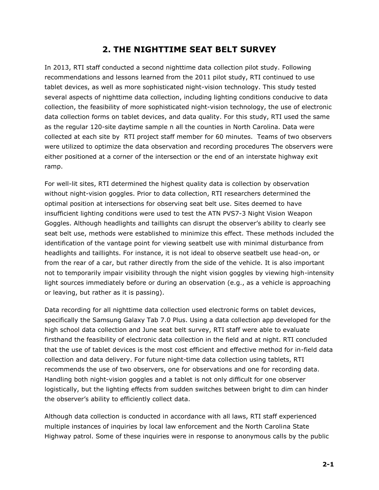## **2. THE NIGHTTIME SEAT BELT SURVEY**

In 2013, RTI staff conducted a second nighttime data collection pilot study. Following recommendations and lessons learned from the 2011 pilot study, RTI continued to use tablet devices, as well as more sophisticated night-vision technology. This study tested several aspects of nighttime data collection, including lighting conditions conducive to data collection, the feasibility of more sophisticated night-vision technology, the use of electronic data collection forms on tablet devices, and data quality. For this study, RTI used the same as the regular 120-site daytime sample n all the counties in North Carolina. Data were collected at each site by RTI project staff member for 60 minutes. Teams of two observers were utilized to optimize the data observation and recording procedures The observers were either positioned at a corner of the intersection or the end of an interstate highway exit ramp.

For well-lit sites, RTI determined the highest quality data is collection by observation without night-vision goggles. Prior to data collection, RTI researchers determined the optimal position at intersections for observing seat belt use. Sites deemed to have insufficient lighting conditions were used to test the ATN PVS7-3 Night Vision Weapon Goggles. Although headlights and taillights can disrupt the observer's ability to clearly see seat belt use, methods were established to minimize this effect. These methods included the identification of the vantage point for viewing seatbelt use with minimal disturbance from headlights and taillights. For instance, it is not ideal to observe seatbelt use head-on, or from the rear of a car, but rather directly from the side of the vehicle. It is also important not to temporarily impair visibility through the night vision goggles by viewing high-intensity light sources immediately before or during an observation (e.g., as a vehicle is approaching or leaving, but rather as it is passing).

Data recording for all nighttime data collection used electronic forms on tablet devices, specifically the Samsung Galaxy Tab 7.0 Plus. Using a data collection app developed for the high school data collection and June seat belt survey, RTI staff were able to evaluate firsthand the feasibility of electronic data collection in the field and at night. RTI concluded that the use of tablet devices is the most cost efficient and effective method for in-field data collection and data delivery. For future night-time data collection using tablets, RTI recommends the use of two observers, one for observations and one for recording data. Handling both night-vision goggles and a tablet is not only difficult for one observer logistically, but the lighting effects from sudden switches between bright to dim can hinder the observer's ability to efficiently collect data.

Although data collection is conducted in accordance with all laws, RTI staff experienced multiple instances of inquiries by local law enforcement and the North Carolina State Highway patrol. Some of these inquiries were in response to anonymous calls by the public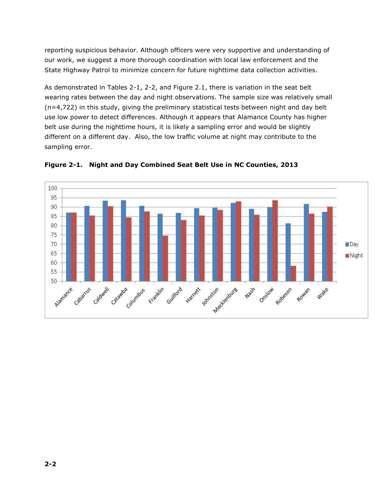reporting suspicious behavior. Although officers were very supportive and understanding of our work, we suggest a more thorough coordination with local law enforcement and the State Highway Patrol to minimize concern for future nighttime data collection activities.

As demonstrated in Tables 2-1, 2-2, and Figure 2.1, there is variation in the seat belt wearing rates between the day and night observations. The sample size was relatively small (n=4,722) in this study, giving the preliminary statistical tests between night and day belt use low power to detect differences. Although it appears that Alamance County has higher belt use during the nighttime hours, it is likely a sampling error and would be slightly different on a different day. Also, the low traffic volume at night may contribute to the sampling error.



**Figure 2-1. Night and Day Combined Seat Belt Use in NC Counties, 2013**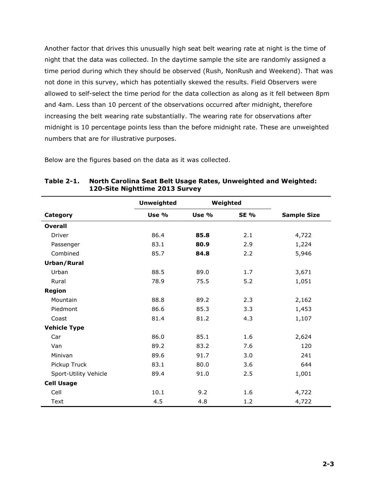Another factor that drives this unusually high seat belt wearing rate at night is the time of night that the data was collected. In the daytime sample the site are randomly assigned a time period during which they should be observed (Rush, NonRush and Weekend). That was not done in this survey, which has potentially skewed the results. Field Observers were allowed to self-select the time period for the data collection as along as it fell between 8pm and 4am. Less than 10 percent of the observations occurred after midnight, therefore increasing the belt wearing rate substantially. The wearing rate for observations after midnight is 10 percentage points less than the before midnight rate. These are unweighted numbers that are for illustrative purposes.

Below are the figures based on the data as it was collected.

|                       | <b>Unweighted</b> |       | Weighted    |                    |
|-----------------------|-------------------|-------|-------------|--------------------|
| Category              | Use %             | Use % | <b>SE %</b> | <b>Sample Size</b> |
| <b>Overall</b>        |                   |       |             |                    |
| <b>Driver</b>         | 86.4              | 85.8  | 2.1         | 4,722              |
| Passenger             | 83.1              | 80.9  | 2.9         | 1,224              |
| Combined              | 85.7              | 84.8  | 2.2         | 5,946              |
| Urban/Rural           |                   |       |             |                    |
| Urban                 | 88.5              | 89.0  | 1.7         | 3,671              |
| Rural                 | 78.9              | 75.5  | 5.2         | 1,051              |
| <b>Region</b>         |                   |       |             |                    |
| Mountain              | 88.8              | 89.2  | 2.3         | 2,162              |
| Piedmont              | 86.6              | 85.3  | 3.3         | 1,453              |
| Coast                 | 81.4              | 81.2  | 4.3         | 1,107              |
| <b>Vehicle Type</b>   |                   |       |             |                    |
| Car                   | 86.0              | 85.1  | 1.6         | 2,624              |
| Van                   | 89.2              | 83.2  | 7.6         | 120                |
| Minivan               | 89.6              | 91.7  | 3.0         | 241                |
| Pickup Truck          | 83.1              | 80.0  | 3.6         | 644                |
| Sport-Utility Vehicle | 89.4              | 91.0  | 2.5         | 1,001              |
| <b>Cell Usage</b>     |                   |       |             |                    |
| Cell                  | 10.1              | 9.2   | 1.6         | 4,722              |
| Text                  | 4.5               | 4.8   | 1.2         | 4,722              |

**Table 2-1. North Carolina Seat Belt Usage Rates, Unweighted and Weighted: 120-Site Nighttime 2013 Survey**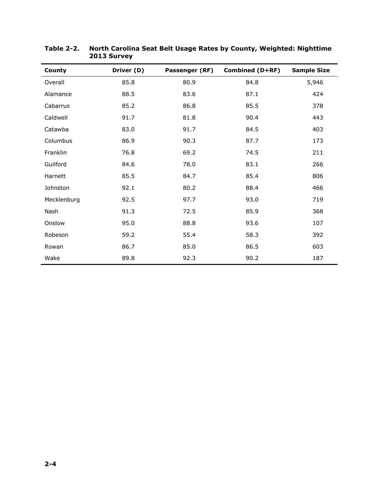| County      | Driver (D) | Passenger (RF) | <b>Combined (D+RF)</b> | <b>Sample Size</b> |
|-------------|------------|----------------|------------------------|--------------------|
| Overall     | 85.8       | 80.9           | 84.8                   | 5,946              |
| Alamance    | 88.5       | 83.6           | 87.1                   | 424                |
| Cabarrus    | 85.2       | 86.8           | 85.5                   | 378                |
| Caldwell    | 91.7       | 81.8           | 90.4                   | 443                |
| Catawba     | 83.0       | 91.7           | 84.5                   | 403                |
| Columbus    | 86.9       | 90.3           | 87.7                   | 173                |
| Franklin    | 76.8       | 69.2           | 74.5                   | 211                |
| Guilford    | 84.6       | 78.0           | 83.1                   | 266                |
| Harnett     | 85.5       | 84.7           | 85.4                   | 806                |
| Johnston    | 92.1       | 80.2           | 88.4                   | 466                |
| Mecklenburg | 92.5       | 97.7           | 93.0                   | 719                |
| Nash        | 91.3       | 72.5           | 85.9                   | 368                |
| Onslow      | 95.0       | 88.8           | 93.6                   | 107                |
| Robeson     | 59.2       | 55.4           | 58.3                   | 392                |
| Rowan       | 86.7       | 85.0           | 86.5                   | 603                |
| Wake        | 89.8       | 92.3           | 90.2                   | 187                |

#### **Table 2-2. North Carolina Seat Belt Usage Rates by County, Weighted: Nighttime 2013 Survey**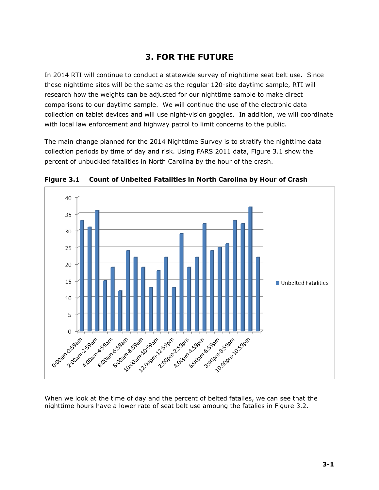## **3. FOR THE FUTURE**

In 2014 RTI will continue to conduct a statewide survey of nighttime seat belt use. Since these nighttime sites will be the same as the regular 120-site daytime sample, RTI will research how the weights can be adjusted for our nighttime sample to make direct comparisons to our daytime sample. We will continue the use of the electronic data collection on tablet devices and will use night-vision goggles. In addition, we will coordinate with local law enforcement and highway patrol to limit concerns to the public.

The main change planned for the 2014 Nighttime Survey is to stratify the nighttime data collection periods by time of day and risk. Using FARS 2011 data, Figure 3.1 show the percent of unbuckled fatalities in North Carolina by the hour of the crash.



**Figure 3.1 Count of Unbelted Fatalities in North Carolina by Hour of Crash**

When we look at the time of day and the percent of belted fatalies, we can see that the nighttime hours have a lower rate of seat belt use amoung the fatalies in Figure 3.2.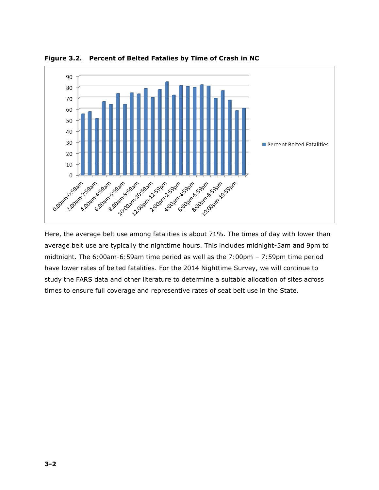

**Figure 3.2. Percent of Belted Fatalies by Time of Crash in NC**

Here, the average belt use among fatalities is about 71%. The times of day with lower than average belt use are typically the nighttime hours. This includes midnight-5am and 9pm to midtnight. The 6:00am-6:59am time period as well as the 7:00pm – 7:59pm time period have lower rates of belted fatalities. For the 2014 Nighttime Survey, we will continue to study the FARS data and other literature to determine a suitable allocation of sites across times to ensure full coverage and representive rates of seat belt use in the State.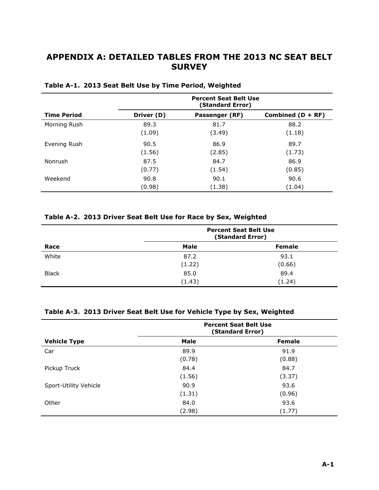## **APPENDIX A: DETAILED TABLES FROM THE 2013 NC SEAT BELT SURVEY**

|                    |            | <b>Percent Seat Belt Use</b><br>(Standard Error) |                     |
|--------------------|------------|--------------------------------------------------|---------------------|
| <b>Time Period</b> | Driver (D) | Passenger (RF)                                   | Combined $(D + RF)$ |
| Morning Rush       | 89.3       | 81.7                                             | 88.2                |
|                    | (1.09)     | (3.49)                                           | (1.18)              |
| Evening Rush       | 90.5       | 86.9                                             | 89.7                |
|                    | (1.56)     | (2.85)                                           | (1.73)              |
| Nonrush            | 87.5       | 84.7                                             | 86.9                |
|                    | (0.77)     | (1.54)                                           | (0.85)              |
| Weekend            | 90.8       | 90.1                                             | 90.6                |
|                    | (0.98)     | (1.38)                                           | (1.04)              |

#### **Table A-1. 2013 Seat Belt Use by Time Period, Weighted**

#### **Table A-2. 2013 Driver Seat Belt Use for Race by Sex, Weighted**

| Race         | <b>Percent Seat Belt Use</b><br>(Standard Error) |               |  |
|--------------|--------------------------------------------------|---------------|--|
|              | <b>Male</b>                                      | <b>Female</b> |  |
| White        | 87.2                                             | 93.1          |  |
|              | (1.22)                                           | (0.66)        |  |
| <b>Black</b> | 85.0                                             | 89.4          |  |
|              | (1.43)                                           | (1.24)        |  |

#### **Table A-3. 2013 Driver Seat Belt Use for Vehicle Type by Sex, Weighted**

|                       | <b>Percent Seat Belt Use</b><br>(Standard Error) |                |  |
|-----------------------|--------------------------------------------------|----------------|--|
| <b>Vehicle Type</b>   | <b>Male</b>                                      | <b>Female</b>  |  |
| Car                   | 89.9<br>(0.78)                                   | 91.9<br>(0.88) |  |
| Pickup Truck          | 84.4<br>(1.56)                                   | 84.7<br>(3.37) |  |
| Sport-Utility Vehicle | 90.9<br>(1.31)                                   | 93.6<br>(0.96) |  |
| Other                 | 84.0<br>(2.98)                                   | 93.6<br>(1.77) |  |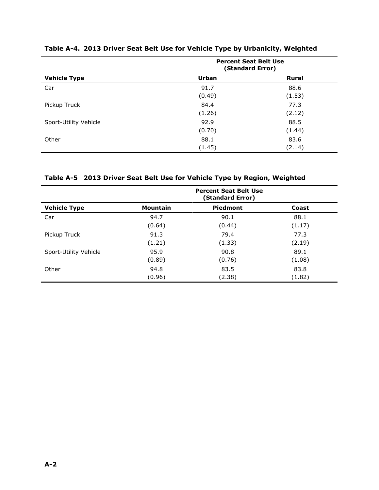|                       | <b>Percent Seat Belt Use</b><br>(Standard Error) |                |  |
|-----------------------|--------------------------------------------------|----------------|--|
| <b>Vehicle Type</b>   | Urban                                            | <b>Rural</b>   |  |
| Car                   | 91.7<br>(0.49)                                   | 88.6<br>(1.53) |  |
| Pickup Truck          | 84.4<br>(1.26)                                   | 77.3<br>(2.12) |  |
| Sport-Utility Vehicle | 92.9<br>(0.70)                                   | 88.5<br>(1.44) |  |
| Other                 | 88.1<br>(1.45)                                   | 83.6<br>(2.14) |  |

**Table A-4. 2013 Driver Seat Belt Use for Vehicle Type by Urbanicity, Weighted**

#### **Table A-5 2013 Driver Seat Belt Use for Vehicle Type by Region, Weighted**

|                       | <b>Percent Seat Belt Use</b><br>(Standard Error) |                 |        |  |
|-----------------------|--------------------------------------------------|-----------------|--------|--|
| <b>Vehicle Type</b>   | <b>Mountain</b>                                  | <b>Piedmont</b> | Coast  |  |
| Car                   | 94.7                                             | 90.1            | 88.1   |  |
|                       | (0.64)                                           | (0.44)          | (1.17) |  |
| Pickup Truck          | 91.3                                             | 79.4            | 77.3   |  |
|                       | (1.21)                                           | (1.33)          | (2.19) |  |
| Sport-Utility Vehicle | 95.9                                             | 90.8            | 89.1   |  |
|                       | (0.89)                                           | (0.76)          | (1.08) |  |
| Other                 | 94.8                                             | 83.5            | 83.8   |  |
|                       | (0.96)                                           | (2.38)          | (1.82) |  |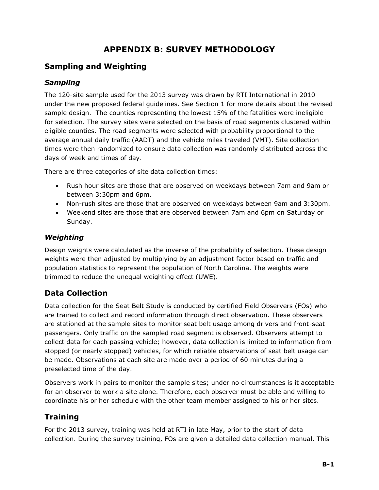## **APPENDIX B: SURVEY METHODOLOGY**

## **Sampling and Weighting**

#### *Sampling*

The 120-site sample used for the 2013 survey was drawn by RTI International in 2010 under the new proposed federal guidelines. See Section 1 for more details about the revised sample design. The counties representing the lowest 15% of the fatalities were ineligible for selection. The survey sites were selected on the basis of road segments clustered within eligible counties. The road segments were selected with probability proportional to the average annual daily traffic (AADT) and the vehicle miles traveled (VMT). Site collection times were then randomized to ensure data collection was randomly distributed across the days of week and times of day.

There are three categories of site data collection times:

- Rush hour sites are those that are observed on weekdays between 7am and 9am or between 3:30pm and 6pm.
- Non-rush sites are those that are observed on weekdays between 9am and 3:30pm.
- Weekend sites are those that are observed between 7am and 6pm on Saturday or Sunday.

#### *Weighting*

Design weights were calculated as the inverse of the probability of selection. These design weights were then adjusted by multiplying by an adjustment factor based on traffic and population statistics to represent the population of North Carolina. The weights were trimmed to reduce the unequal weighting effect (UWE).

## **Data Collection**

Data collection for the Seat Belt Study is conducted by certified Field Observers (FOs) who are trained to collect and record information through direct observation. These observers are stationed at the sample sites to monitor seat belt usage among drivers and front-seat passengers. Only traffic on the sampled road segment is observed. Observers attempt to collect data for each passing vehicle; however, data collection is limited to information from stopped (or nearly stopped) vehicles, for which reliable observations of seat belt usage can be made. Observations at each site are made over a period of 60 minutes during a preselected time of the day.

Observers work in pairs to monitor the sample sites; under no circumstances is it acceptable for an observer to work a site alone. Therefore, each observer must be able and willing to coordinate his or her schedule with the other team member assigned to his or her sites.

## **Training**

For the 2013 survey, training was held at RTI in late May, prior to the start of data collection. During the survey training, FOs are given a detailed data collection manual. This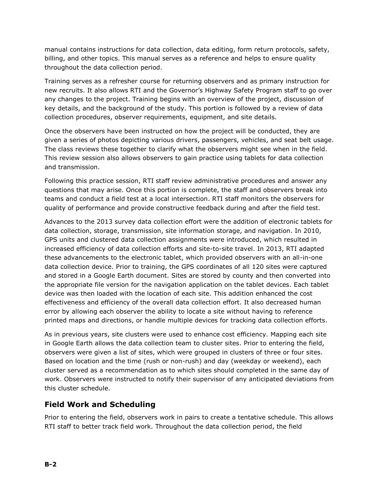manual contains instructions for data collection, data editing, form return protocols, safety, billing, and other topics. This manual serves as a reference and helps to ensure quality throughout the data collection period.

Training serves as a refresher course for returning observers and as primary instruction for new recruits. It also allows RTI and the Governor's Highway Safety Program staff to go over any changes to the project. Training begins with an overview of the project, discussion of key details, and the background of the study. This portion is followed by a review of data collection procedures, observer requirements, equipment, and site details.

Once the observers have been instructed on how the project will be conducted, they are given a series of photos depicting various drivers, passengers, vehicles, and seat belt usage. The class reviews these together to clarify what the observers might see when in the field. This review session also allows observers to gain practice using tablets for data collection and transmission.

Following this practice session, RTI staff review administrative procedures and answer any questions that may arise. Once this portion is complete, the staff and observers break into teams and conduct a field test at a local intersection. RTI staff monitors the observers for quality of performance and provide constructive feedback during and after the field test.

Advances to the 2013 survey data collection effort were the addition of electronic tablets for data collection, storage, transmission, site information storage, and navigation. In 2010, GPS units and clustered data collection assignments were introduced, which resulted in increased efficiency of data collection efforts and site-to-site travel. In 2013, RTI adapted these advancements to the electronic tablet, which provided observers with an all-in-one data collection device. Prior to training, the GPS coordinates of all 120 sites were captured and stored in a Google Earth document. Sites are stored by county and then converted into the appropriate file version for the navigation application on the tablet devices. Each tablet device was then loaded with the location of each site. This addition enhanced the cost effectiveness and efficiency of the overall data collection effort. It also decreased human error by allowing each observer the ability to locate a site without having to reference printed maps and directions, or handle multiple devices for tracking data collection efforts.

As in previous years, site clusters were used to enhance cost efficiency. Mapping each site in Google Earth allows the data collection team to cluster sites. Prior to entering the field, observers were given a list of sites, which were grouped in clusters of three or four sites. Based on location and the time (rush or non-rush) and day (weekday or weekend), each cluster served as a recommendation as to which sites should completed in the same day of work. Observers were instructed to notify their supervisor of any anticipated deviations from this cluster schedule.

### **Field Work and Scheduling**

Prior to entering the field, observers work in pairs to create a tentative schedule. This allows RTI staff to better track field work. Throughout the data collection period, the field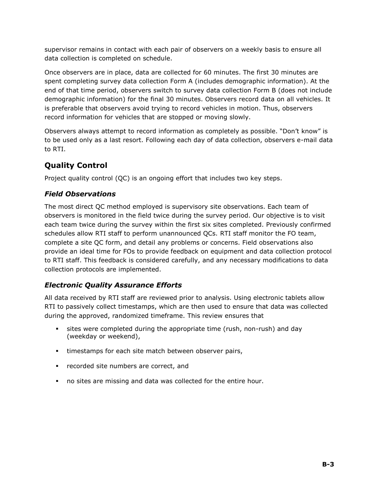supervisor remains in contact with each pair of observers on a weekly basis to ensure all data collection is completed on schedule.

Once observers are in place, data are collected for 60 minutes. The first 30 minutes are spent completing survey data collection Form A (includes demographic information). At the end of that time period, observers switch to survey data collection Form B (does not include demographic information) for the final 30 minutes. Observers record data on all vehicles. It is preferable that observers avoid trying to record vehicles in motion. Thus, observers record information for vehicles that are stopped or moving slowly.

Observers always attempt to record information as completely as possible. "Don't know" is to be used only as a last resort. Following each day of data collection, observers e-mail data to RTI.

## **Quality Control**

Project quality control (QC) is an ongoing effort that includes two key steps.

#### *Field Observations*

The most direct QC method employed is supervisory site observations. Each team of observers is monitored in the field twice during the survey period. Our objective is to visit each team twice during the survey within the first six sites completed. Previously confirmed schedules allow RTI staff to perform unannounced QCs. RTI staff monitor the FO team, complete a site QC form, and detail any problems or concerns. Field observations also provide an ideal time for FOs to provide feedback on equipment and data collection protocol to RTI staff. This feedback is considered carefully, and any necessary modifications to data collection protocols are implemented.

#### *Electronic Quality Assurance Efforts*

All data received by RTI staff are reviewed prior to analysis. Using electronic tablets allow RTI to passively collect timestamps, which are then used to ensure that data was collected during the approved, randomized timeframe. This review ensures that

- **EXEL** sites were completed during the appropriate time (rush, non-rush) and day (weekday or weekend),
- **EXED** timestamps for each site match between observer pairs,
- recorded site numbers are correct, and
- no sites are missing and data was collected for the entire hour.